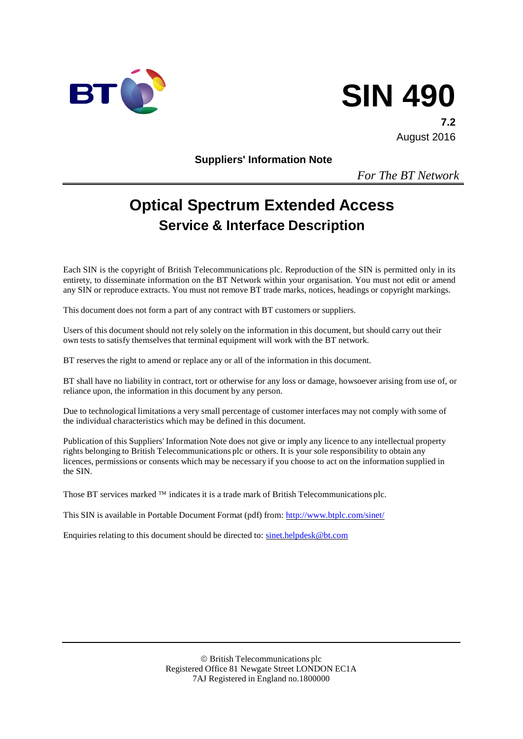

# **SIN 490**

**7.2** August 2016

**Suppliers' Information Note**

*For The BT Network*

# **Optical Spectrum Extended Access Service & Interface Description**

Each SIN is the copyright of British Telecommunications plc. Reproduction of the SIN is permitted only in its entirety, to disseminate information on the BT Network within your organisation. You must not edit or amend any SIN or reproduce extracts. You must not remove BT trade marks, notices, headings or copyright markings.

This document does not form a part of any contract with BT customers or suppliers.

Users of this document should not rely solely on the information in this document, but should carry out their own tests to satisfy themselves that terminal equipment will work with the BT network.

BT reserves the right to amend or replace any or all of the information in this document.

BT shall have no liability in contract, tort or otherwise for any loss or damage, howsoever arising from use of, or reliance upon, the information in this document by any person.

Due to technological limitations a very small percentage of customer interfaces may not comply with some of the individual characteristics which may be defined in this document.

Publication of this Suppliers' Information Note does not give or imply any licence to any intellectual property rights belonging to British Telecommunications plc or others. It is your sole responsibility to obtain any licences, permissions or consents which may be necessary if you choose to act on the information supplied in the SIN.

Those BT services marked  $TM$  indicates it is a trade mark of British Telecommunications plc.

This SIN is available in Portable Document Format (pdf) from: <http://www.btplc.com/sinet/>

Enquiries relating to this document should be directed to: [sinet.helpdesk@bt.com](mailto:sinet.helpdesk@bt.com)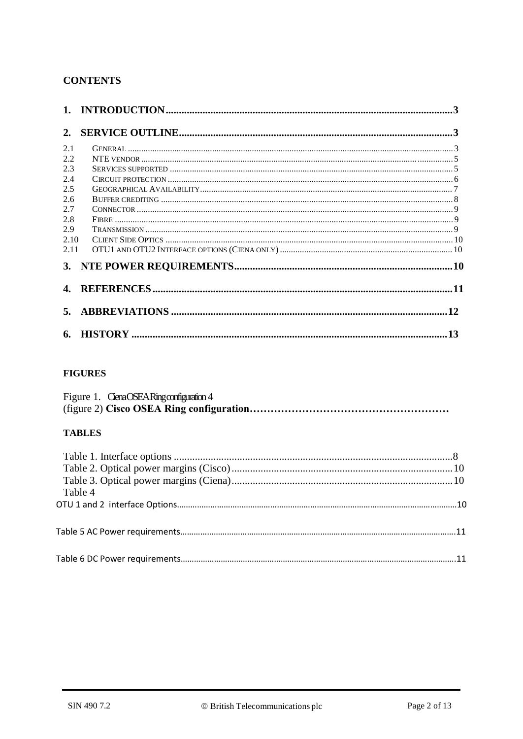#### **CONTENTS**

| 2.   |     |
|------|-----|
| 2.1  |     |
| 2.2  |     |
| 2.3  |     |
| 2.4  |     |
| 2.5  |     |
| 2.6  |     |
| 2.7  |     |
| 2.8  |     |
| 2.9  |     |
| 2.10 |     |
| 2.11 |     |
|      |     |
|      |     |
|      |     |
|      | .13 |

#### **FIGURES**

| Figure 1. CenaOSEARingconfiguration 4 |
|---------------------------------------|
|                                       |

#### **TABLES**

| Table 4 |  |
|---------|--|
|         |  |
|         |  |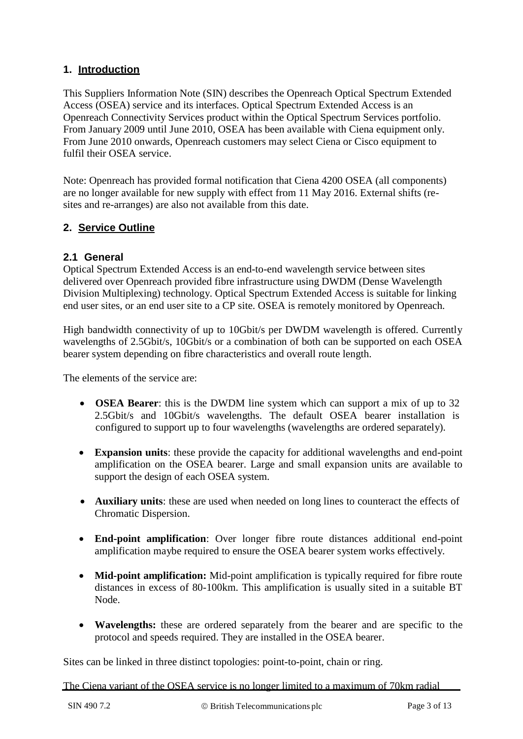#### **1. Introduction**

This Suppliers Information Note (SIN) describes the Openreach Optical Spectrum Extended Access (OSEA) service and its interfaces. Optical Spectrum Extended Access is an Openreach Connectivity Services product within the Optical Spectrum Services portfolio. From January 2009 until June 2010, OSEA has been available with Ciena equipment only. From June 2010 onwards, Openreach customers may select Ciena or Cisco equipment to fulfil their OSEA service.

Note: Openreach has provided formal notification that Ciena 4200 OSEA (all components) are no longer available for new supply with effect from 11 May 2016. External shifts (resites and re-arranges) are also not available from this date.

#### **2. Service Outline**

#### **2.1 General**

Optical Spectrum Extended Access is an end-to-end wavelength service between sites delivered over Openreach provided fibre infrastructure using DWDM (Dense Wavelength Division Multiplexing) technology. Optical Spectrum Extended Access is suitable for linking end user sites, or an end user site to a CP site. OSEA is remotely monitored by Openreach.

High bandwidth connectivity of up to 10Gbit/s per DWDM wavelength is offered. Currently wavelengths of 2.5Gbit/s, 10Gbit/s or a combination of both can be supported on each OSEA bearer system depending on fibre characteristics and overall route length.

The elements of the service are:

- **OSEA Bearer**: this is the DWDM line system which can support a mix of up to 32 2.5Gbit/s and 10Gbit/s wavelengths. The default OSEA bearer installation is configured to support up to four wavelengths (wavelengths are ordered separately).
- **Expansion units**: these provide the capacity for additional wavelengths and end-point amplification on the OSEA bearer. Large and small expansion units are available to support the design of each OSEA system.
- **Auxiliary units**: these are used when needed on long lines to counteract the effects of Chromatic Dispersion.
- **End-point amplification**: Over longer fibre route distances additional end-point amplification maybe required to ensure the OSEA bearer system works effectively.
- **Mid-point amplification:** Mid-point amplification is typically required for fibre route distances in excess of 80-100km. This amplification is usually sited in a suitable BT Node.
- **Wavelengths:** these are ordered separately from the bearer and are specific to the protocol and speeds required. They are installed in the OSEA bearer.

Sites can be linked in three distinct topologies: point-to-point, chain or ring.

The Ciena variant of the OSEA service is no longer limited to a maximum of 70km radial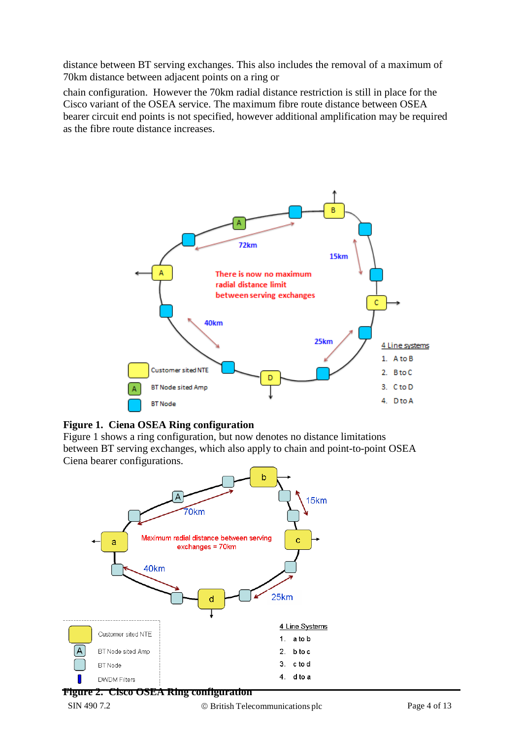distance between BT serving exchanges. This also includes the removal of a maximum of 70km distance between adjacent points on a ring or

chain configuration. However the 70km radial distance restriction is still in place for the Cisco variant of the OSEA service. The maximum fibre route distance between OSEA bearer circuit end points is not specified, however additional amplification may be required as the fibre route distance increases.





Figure 1 shows a ring configuration, but now denotes no distance limitations between BT serving exchanges, which also apply to chain and point-to-point OSEA Ciena bearer configurations.

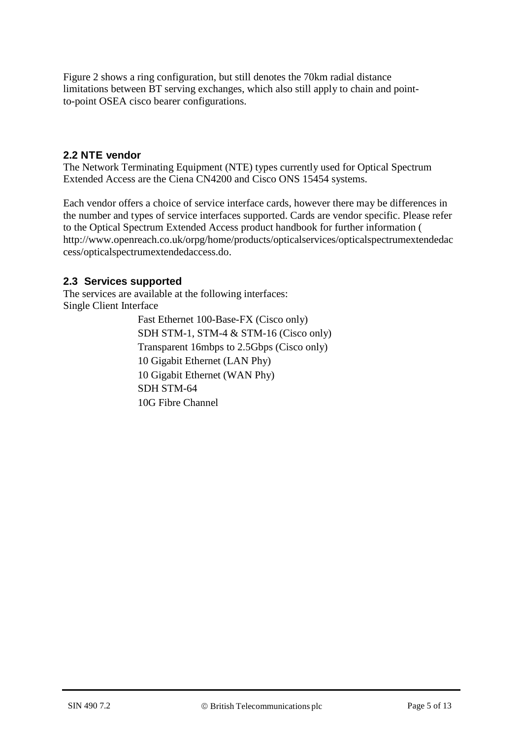Figure 2 shows a ring configuration, but still denotes the 70km radial distance limitations between BT serving exchanges, which also still apply to chain and pointto-point OSEA cisco bearer configurations.

#### **2.2 NTE vendor**

The Network Terminating Equipment (NTE) types currently used for Optical Spectrum Extended Access are the Ciena CN4200 and Cisco ONS 15454 systems.

Each vendor offers a choice of service interface cards, however there may be differences in the number and types of service interfaces supported. Cards are vendor specific. Please refer to the Optical Spectrum Extended Access product handbook for further information ( http://www.openreach.co.uk/orpg/home/products/opticalservices/opticalspectrumextendedac cess/opticalspectrumextendedaccess.do.

#### **2.3 Services supported**

The services are available at the following interfaces: Single Client Interface

> Fast Ethernet 100-Base-FX (Cisco only) SDH STM-1, STM-4 & STM-16 (Cisco only) Transparent 16mbps to 2.5Gbps (Cisco only) 10 Gigabit Ethernet (LAN Phy) 10 Gigabit Ethernet (WAN Phy) SDH STM-64 10G Fibre Channel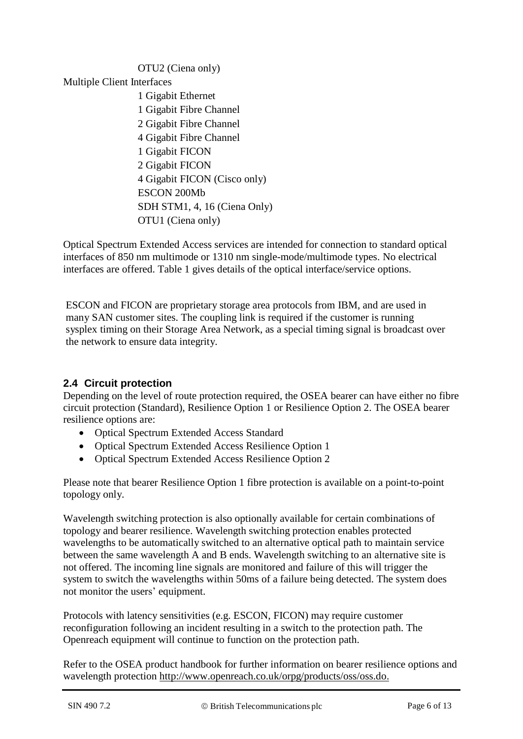# OTU2 (Ciena only) Multiple Client Interfaces 1 Gigabit Ethernet 1 Gigabit Fibre Channel 2 Gigabit Fibre Channel 4 Gigabit Fibre Channel 1 Gigabit FICON 2 Gigabit FICON 4 Gigabit FICON (Cisco only) ESCON 200Mb SDH STM1, 4, 16 (Ciena Only) OTU1 (Ciena only)

Optical Spectrum Extended Access services are intended for connection to standard optical interfaces of 850 nm multimode or 1310 nm single-mode/multimode types. No electrical interfaces are offered. Table 1 gives details of the optical interface/service options.

ESCON and FICON are proprietary storage area protocols from IBM, and are used in many SAN customer sites. The coupling link is required if the customer is running sysplex timing on their Storage Area Network, as a special timing signal is broadcast over the network to ensure data integrity.

# **2.4 Circuit protection**

Depending on the level of route protection required, the OSEA bearer can have either no fibre circuit protection (Standard), Resilience Option 1 or Resilience Option 2. The OSEA bearer resilience options are:

- Optical Spectrum Extended Access Standard
- Optical Spectrum Extended Access Resilience Option 1
- Optical Spectrum Extended Access Resilience Option 2

Please note that bearer Resilience Option 1 fibre protection is available on a point-to-point topology only.

Wavelength switching protection is also optionally available for certain combinations of topology and bearer resilience. Wavelength switching protection enables protected wavelengths to be automatically switched to an alternative optical path to maintain service between the same wavelength A and B ends. Wavelength switching to an alternative site is not offered. The incoming line signals are monitored and failure of this will trigger the system to switch the wavelengths within 50ms of a failure being detected. The system does not monitor the users' equipment.

Protocols with latency sensitivities (e.g. ESCON, FICON) may require customer reconfiguration following an incident resulting in a switch to the protection path. The Openreach equipment will continue to function on the protection path.

Refer to the OSEA product handbook for further information on bearer resilience options and wavelength protection [http://www.openreach.co.uk/orpg/products/oss/oss.do.](http://www.openreach.co.uk/orpg/products/oss/oss.do)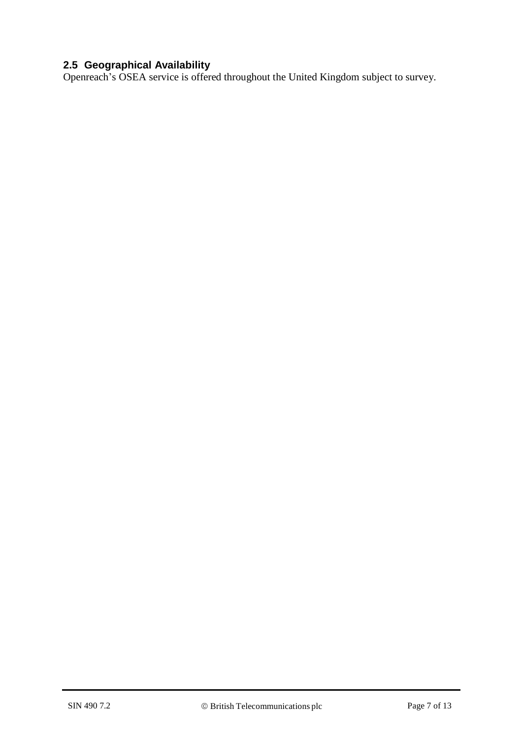#### **2.5 Geographical Availability**

Openreach's OSEA service is offered throughout the United Kingdom subject to survey.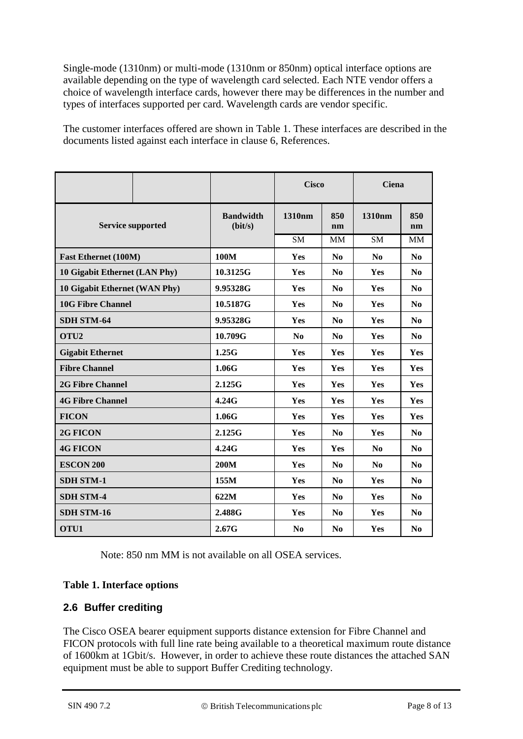Single-mode (1310nm) or multi-mode (1310nm or 850nm) optical interface options are available depending on the type of wavelength card selected. Each NTE vendor offers a choice of wavelength interface cards, however there may be differences in the number and types of interfaces supported per card. Wavelength cards are vendor specific.

The customer interfaces offered are shown in Table 1. These interfaces are described in the documents listed against each interface in clause 6, References.

|                               |  |                             | <b>Cisco</b>   |                | <b>Ciena</b>   |                |
|-------------------------------|--|-----------------------------|----------------|----------------|----------------|----------------|
| <b>Service supported</b>      |  | <b>Bandwidth</b><br>(bit/s) | 1310nm         | 850<br>nm      | 1310nm         | 850<br>nm      |
|                               |  |                             | SM             | <b>MM</b>      | SM             | <b>MM</b>      |
| <b>Fast Ethernet (100M)</b>   |  | 100M                        | Yes            | N <sub>0</sub> | N <sub>0</sub> | $\bf No$       |
| 10 Gigabit Ethernet (LAN Phy) |  | 10.3125G                    | Yes            | N <sub>0</sub> | Yes            | N <sub>0</sub> |
| 10 Gigabit Ethernet (WAN Phy) |  | 9.95328G                    | Yes            | $\bf No$       | Yes            | N <sub>0</sub> |
| <b>10G Fibre Channel</b>      |  | 10.5187G                    | <b>Yes</b>     | N <sub>0</sub> | <b>Yes</b>     | $\bf No$       |
| <b>SDH STM-64</b>             |  | 9.95328G                    | <b>Yes</b>     | N <sub>0</sub> | Yes            | $\bf No$       |
| OTU <sub>2</sub>              |  | 10.709G                     | N <sub>0</sub> | No             | Yes            | N <sub>0</sub> |
| <b>Gigabit Ethernet</b>       |  | 1.25G                       | <b>Yes</b>     | Yes            | Yes            | <b>Yes</b>     |
| <b>Fibre Channel</b>          |  | 1.06G                       | <b>Yes</b>     | Yes            | <b>Yes</b>     | Yes            |
| <b>2G Fibre Channel</b>       |  | 2.125G                      | Yes            | Yes            | Yes            | <b>Yes</b>     |
| <b>4G Fibre Channel</b>       |  | 4.24G                       | Yes            | Yes            | Yes            | <b>Yes</b>     |
| <b>FICON</b>                  |  | 1.06G                       | Yes            | Yes            | <b>Yes</b>     | Yes            |
| 2G FICON                      |  | 2.125G                      | Yes            | N <sub>0</sub> | <b>Yes</b>     | N <sub>0</sub> |
| <b>4G FICON</b>               |  | 4.24G                       | Yes            | Yes            | N <sub>0</sub> | N <sub>0</sub> |
| <b>ESCON 200</b>              |  | <b>200M</b>                 | Yes            | N <sub>0</sub> | N <sub>0</sub> | $\bf No$       |
| <b>SDH STM-1</b>              |  | 155M                        | Yes            | N <sub>0</sub> | Yes            | $\bf No$       |
| <b>SDH STM-4</b>              |  | 622M                        | Yes            | N <sub>0</sub> | Yes            | N <sub>0</sub> |
| <b>SDH STM-16</b>             |  | 2.488G                      | Yes            | N <sub>0</sub> | Yes            | N <sub>0</sub> |
| OTU1                          |  | 2.67G                       | N <sub>0</sub> | $\bf No$       | Yes            | N <sub>0</sub> |

Note: 850 nm MM is not available on all OSEA services.

#### **Table 1. Interface options**

#### **2.6 Buffer crediting**

The Cisco OSEA bearer equipment supports distance extension for Fibre Channel and FICON protocols with full line rate being available to a theoretical maximum route distance of 1600km at 1Gbit/s. However, in order to achieve these route distances the attached SAN equipment must be able to support Buffer Crediting technology.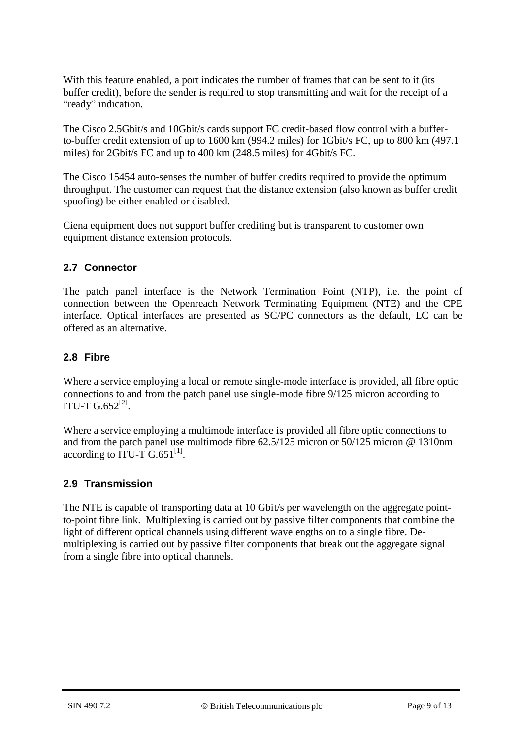With this feature enabled, a port indicates the number of frames that can be sent to it (its buffer credit), before the sender is required to stop transmitting and wait for the receipt of a "ready" indication.

The Cisco 2.5Gbit/s and 10Gbit/s cards support FC credit-based flow control with a bufferto-buffer credit extension of up to 1600 km (994.2 miles) for 1Gbit/s FC, up to 800 km (497.1 miles) for 2Gbit/s FC and up to 400 km (248.5 miles) for 4Gbit/s FC.

The Cisco 15454 auto-senses the number of buffer credits required to provide the optimum throughput. The customer can request that the distance extension (also known as buffer credit spoofing) be either enabled or disabled.

Ciena equipment does not support buffer crediting but is transparent to customer own equipment distance extension protocols.

#### **2.7 Connector**

The patch panel interface is the Network Termination Point (NTP), i.e. the point of connection between the Openreach Network Terminating Equipment (NTE) and the CPE interface. Optical interfaces are presented as SC/PC connectors as the default, LC can be offered as an alternative.

#### **2.8 Fibre**

Where a service employing a local or remote single-mode interface is provided, all fibre optic connections to and from the patch panel use single-mode fibre 9/125 micron according to ITU-T  $G.652^{[2]}$ .

Where a service employing a multimode interface is provided all fibre optic connections to and from the patch panel use multimode fibre 62.5/125 micron or 50/125 micron @ 1310nm according to  $\overline{ITU-T} G.651^{[1]}$ .

# **2.9 Transmission**

The NTE is capable of transporting data at 10 Gbit/s per wavelength on the aggregate pointto-point fibre link. Multiplexing is carried out by passive filter components that combine the light of different optical channels using different wavelengths on to a single fibre. Demultiplexing is carried out by passive filter components that break out the aggregate signal from a single fibre into optical channels.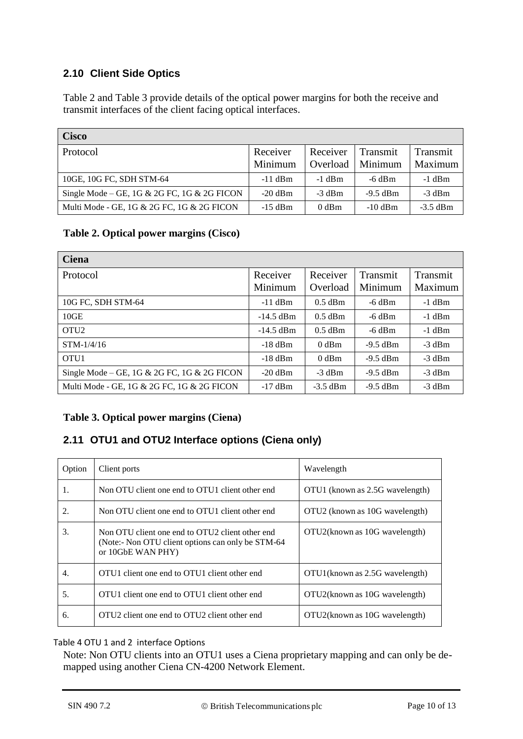#### **2.10 Client Side Optics**

Table 2 and Table 3 provide details of the optical power margins for both the receive and transmit interfaces of the client facing optical interfaces.

| <b>Cisco</b>                                |                     |                      |                     |                            |
|---------------------------------------------|---------------------|----------------------|---------------------|----------------------------|
| Protocol                                    | Receiver<br>Minimum | Receiver<br>Overload | Transmit<br>Minimum | <b>Transmit</b><br>Maximum |
| 10GE, 10G FC, SDH STM-64                    | $-11$ dBm           | $-1$ dBm             | $-6$ dBm            | $-1$ dBm                   |
| Single Mode – GE, 1G & 2G FC, 1G & 2G FICON | $-20$ dBm           | $-3$ dBm             | $-9.5$ dBm          | $-3$ dBm                   |
| Multi Mode - GE, 1G & 2G FC, 1G & 2G FICON  | $-15$ dBm           | $0$ dBm              | $-10$ dBm           | $-3.5$ dBm                 |

#### **Table 2. Optical power margins (Cisco)**

| <b>Ciena</b>                                |             |            |            |          |
|---------------------------------------------|-------------|------------|------------|----------|
| Protocol                                    | Receiver    | Receiver   | Transmit   | Transmit |
|                                             | Minimum     | Overload   | Minimum    | Maximum  |
| 10G FC, SDH STM-64                          | $-11$ dBm   | $0.5$ dBm  | $-6$ dBm   | $-1$ dBm |
| 10GE                                        | $-14.5$ dBm | $0.5$ dBm  | $-6$ dBm   | $-1$ dBm |
| OTU <sub>2</sub>                            | $-14.5$ dBm | $0.5$ dBm  | $-6$ dBm   | $-1$ dBm |
| $STM-1/4/16$                                | $-18$ dBm   | $0$ dBm    | $-9.5$ dBm | $-3$ dBm |
| OTU <sub>1</sub>                            | $-18$ dBm   | $0$ dBm    | $-9.5$ dBm | $-3$ dBm |
| Single Mode – GE, 1G & 2G FC, 1G & 2G FICON | $-20$ dBm   | $-3$ dBm   | $-9.5$ dBm | $-3$ dBm |
| Multi Mode - GE, 1G & 2G FC, 1G & 2G FICON  | $-17$ dBm   | $-3.5$ dBm | $-9.5$ dBm | $-3$ dBm |

#### **Table 3. Optical power margins (Ciena)**

# **2.11 OTU1 and OTU2 Interface options (Ciena only)**

| Option | Client ports                                                                                                               | Wavelength                      |
|--------|----------------------------------------------------------------------------------------------------------------------------|---------------------------------|
| 1.     | Non OTU client one end to OTU1 client other end                                                                            | OTU1 (known as 2.5G wavelength) |
| 2.     | Non OTU client one end to OTU1 client other end                                                                            | OTU2 (known as 10G wavelength)  |
| 3.     | Non OTU client one end to OTU2 client other end<br>(Note:- Non OTU client options can only be STM-64)<br>or 10GbE WAN PHY) | OTU2(known as 10G wavelength)   |
| 4.     | OTU1 client one end to OTU1 client other end                                                                               | OTU1(known as 2.5G wavelength)  |
| 5.     | OTU1 client one end to OTU1 client other end                                                                               | OTU2(known as 10G wavelength)   |
| 6.     | OTU2 client one end to OTU2 client other end                                                                               | OTU2(known as 10G wavelength)   |

#### Table 4 OTU 1 and 2 interface Options

Note: Non OTU clients into an OTU1 uses a Ciena proprietary mapping and can only be demapped using another Ciena CN-4200 Network Element.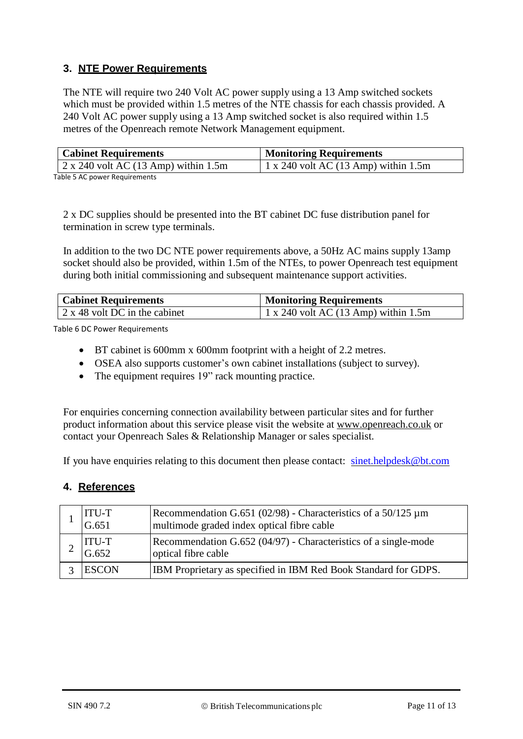#### **3. NTE Power Requirements**

The NTE will require two 240 Volt AC power supply using a 13 Amp switched sockets which must be provided within 1.5 metres of the NTE chassis for each chassis provided. A 240 Volt AC power supply using a 13 Amp switched socket is also required within 1.5 metres of the Openreach remote Network Management equipment.

| <b>Cabinet Requirements</b>                      | <b>Monitoring Requirements</b>               |
|--------------------------------------------------|----------------------------------------------|
| $\frac{1}{2}$ x 240 volt AC (13 Amp) within 1.5m | $\vert$ 1 x 240 volt AC (13 Amp) within 1.5m |
| Table E AC nower Dequirements                    |                                              |

Table 5 AC power Requirements

2 x DC supplies should be presented into the BT cabinet DC fuse distribution panel for termination in screw type terminals.

In addition to the two DC NTE power requirements above, a 50Hz AC mains supply 13amp socket should also be provided, within 1.5m of the NTEs, to power Openreach test equipment during both initial commissioning and subsequent maintenance support activities.

| <b>Cabinet Requirements</b>               | <b>Monitoring Requirements</b>               |
|-------------------------------------------|----------------------------------------------|
| $\frac{1}{2}$ x 48 volt DC in the cabinet | $\vert$ 1 x 240 volt AC (13 Amp) within 1.5m |

Table 6 DC Power Requirements

- BT cabinet is 600mm x 600mm footprint with a height of 2.2 metres.
- OSEA also supports customer's own cabinet installations (subject to survey).
- The equipment requires 19" rack mounting practice.

For enquiries concerning connection availability between particular sites and for further product information about this service please visit the website at [www.openreach.co.uk](http://www.openreach.co.uk/) or contact your Openreach Sales & Relationship Manager or sales specialist.

If you have enquiries relating to this document then please contact: [sinet.helpdesk@bt.com](mailto:sinet.helpdesk@bt.com)

#### **4. References**

| <b>ITU-T</b><br>G.651 | Recommendation G.651 (02/98) - Characteristics of a 50/125 $\mu$ m<br>multimode graded index optical fibre cable |
|-----------------------|------------------------------------------------------------------------------------------------------------------|
| <b>ITU-T</b><br>G.652 | Recommendation $G.652 (04/97)$ - Characteristics of a single-mode<br>optical fibre cable                         |
| <b>ESCON</b>          | IBM Proprietary as specified in IBM Red Book Standard for GDPS.                                                  |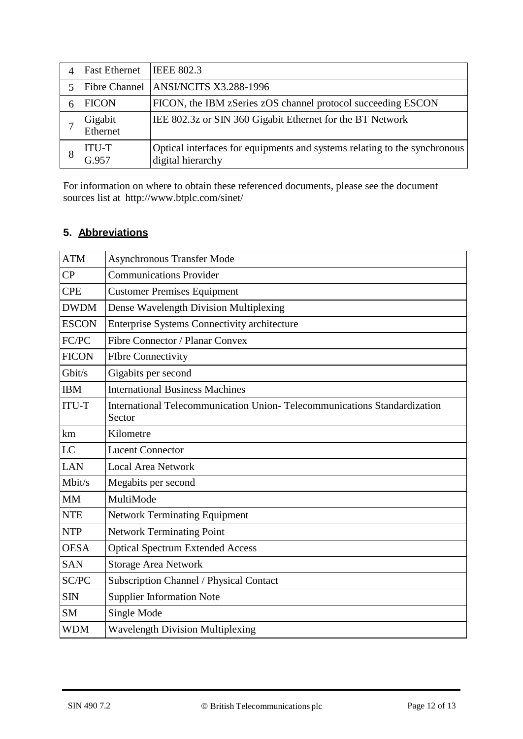| <b>Fast Ethernet</b>  | <b>IEEE 802.3</b>                                                                              |
|-----------------------|------------------------------------------------------------------------------------------------|
|                       | Fibre Channel ANSI/NCITS X3.288-1996                                                           |
| <b>FICON</b>          | FICON, the IBM zSeries zOS channel protocol succeeding ESCON                                   |
| Gigabit<br>Ethernet   | IEE 802.3z or SIN 360 Gigabit Ethernet for the BT Network                                      |
| <b>ITU-T</b><br>G.957 | Optical interfaces for equipments and systems relating to the synchronous<br>digital hierarchy |

For information on where to obtain these referenced documents, please see the document sources list at http://www.btplc.com/sinet/

# **5. Abbreviations**

| <b>ATM</b>   | <b>Asynchronous Transfer Mode</b>                                                  |
|--------------|------------------------------------------------------------------------------------|
| CP           | <b>Communications Provider</b>                                                     |
| <b>CPE</b>   | <b>Customer Premises Equipment</b>                                                 |
| <b>DWDM</b>  | Dense Wavelength Division Multiplexing                                             |
| <b>ESCON</b> | Enterprise Systems Connectivity architecture                                       |
| FC/PC        | Fibre Connector / Planar Convex                                                    |
| <b>FICON</b> | <b>Flbre Connectivity</b>                                                          |
| Gbit/s       | Gigabits per second                                                                |
| <b>IBM</b>   | <b>International Business Machines</b>                                             |
| <b>ITU-T</b> | International Telecommunication Union-Telecommunications Standardization<br>Sector |
| km           | Kilometre                                                                          |
| LC           | <b>Lucent Connector</b>                                                            |
| <b>LAN</b>   | <b>Local Area Network</b>                                                          |
| Mbit/s       | Megabits per second                                                                |
| <b>MM</b>    | MultiMode                                                                          |
| <b>NTE</b>   | <b>Network Terminating Equipment</b>                                               |
| <b>NTP</b>   | <b>Network Terminating Point</b>                                                   |
| <b>OESA</b>  | <b>Optical Spectrum Extended Access</b>                                            |
| <b>SAN</b>   | <b>Storage Area Network</b>                                                        |
| SC/PC        | Subscription Channel / Physical Contact                                            |
| <b>SIN</b>   | <b>Supplier Information Note</b>                                                   |
| <b>SM</b>    | Single Mode                                                                        |
| <b>WDM</b>   | <b>Wavelength Division Multiplexing</b>                                            |